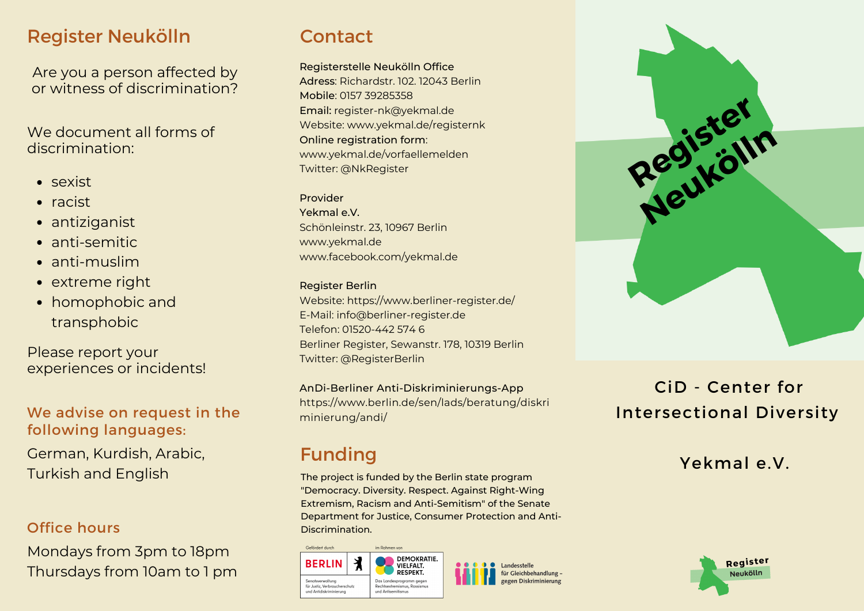# Register Neukölln

Are you a person affected by or witness of discrimination?

We document all forms of discrimination:

- sexist
- $\bullet$  racist
- antiziganist
- anti-semitic
- anti-muslim
- extreme right
- homophobic and transphobic

Please report your experiences or incidents!

## We advise on request in the following languages:

German, Kurdish, Arabic, Turkish and English

## Office hours

Mondays from 3pm to 18pm Thursdays from 10am to 1 pm

# **Contact**

Registerstelle Neukölln Office Adress: Richardstr. 102. 12043 Berlin Mobile: 0157 39285358 Email: [register-nk@yekmal.de](mailto:registerstelle-neukoelln@yekmal.de) Website: [www.yekmal.de/](http://www.yekmal.de/)registernk Online registration form: [www.yekmal.de/](http://www.yekmal.de/)vorfaellemelden Twitter: @NkRegister

#### Provider

Yekmal e.V. Schönleinstr. 23, 10967 Berlin [www.yekmal.de](http://www.yekmal.de/) [www.facebook.com/yekmal.de](http://www.facebook.com/yekmal.de)

### Register Berlin

Website: https://www.berliner-register.de/ E-Mail: info@berliner-register.de Telefon: 01520-442 574 6 Berliner Register, Sewanstr. 178, 10319 Berlin Twitter: @RegisterBerlin

AnDi-Berliner Anti-Diskriminierungs-App https://www.berlin.de/sen/lads/beratung/diskri minierung/andi/

# Funding

**Collection documents** 

**BERLIN** 

Senatsverwaltung für Justiz, Verbraucherschut und Antidiskriminierung

The project is funded by the Berlin state program "Democracy. Diversity. Respect. Against Right-Wing Extremism, Racism and Anti-Semitism" of the Senate Department for Justice, Consumer Protection and Anti-Discrimination.

**San Darkson and Theory** 

und Antisemitismus

DEMOKRATIE. VIELFALT. RESPEKT. **Cleichhehandlung** Das Landesprogramm gegen



# CiD - Center for Intersectional Diversity

## Yekmal e.V.